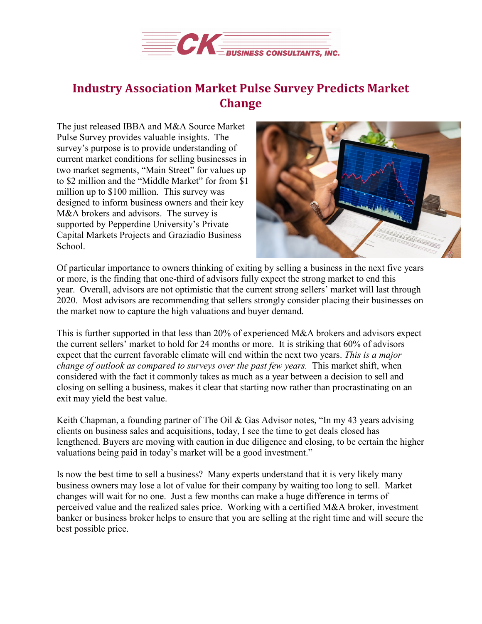

## **Industry Association Market Pulse Survey Predicts Market Change**

The just released IBBA and M&A Source Market Pulse Survey provides valuable insights. The survey's purpose is to provide understanding of current market conditions for selling businesses in two market segments, "Main Street" for values up to \$2 million and the "Middle Market" for from \$1 million up to \$100 million. This survey was designed to inform business owners and their key M&A brokers and advisors. The survey is supported by Pepperdine University's Private Capital Markets Projects and Graziadio Business School.



Of particular importance to owners thinking of exiting by selling a business in the next five years or more, is the finding that one-third of advisors fully expect the strong market to end this year. Overall, advisors are not optimistic that the current strong sellers' market will last through 2020. Most advisors are recommending that sellers strongly consider placing their businesses on the market now to capture the high valuations and buyer demand.

This is further supported in that less than 20% of experienced M&A brokers and advisors expect the current sellers' market to hold for 24 months or more. It is striking that 60% of advisors expect that the current favorable climate will end within the next two years. *This is a major change of outlook as compared to surveys over the past few years.* This market shift, when considered with the fact it commonly takes as much as a year between a decision to sell and closing on selling a business, makes it clear that starting now rather than procrastinating on an exit may yield the best value.

Keith Chapman, a founding partner of The Oil & Gas Advisor notes, "In my 43 years advising clients on business sales and acquisitions, today, I see the time to get deals closed has lengthened. Buyers are moving with caution in due diligence and closing, to be certain the higher valuations being paid in today's market will be a good investment."

Is now the best time to sell a business? Many experts understand that it is very likely many business owners may lose a lot of value for their company by waiting too long to sell. Market changes will wait for no one. Just a few months can make a huge difference in terms of perceived value and the realized sales price. Working with a certified M&A broker, investment banker or business broker helps to ensure that you are selling at the right time and will secure the best possible price.